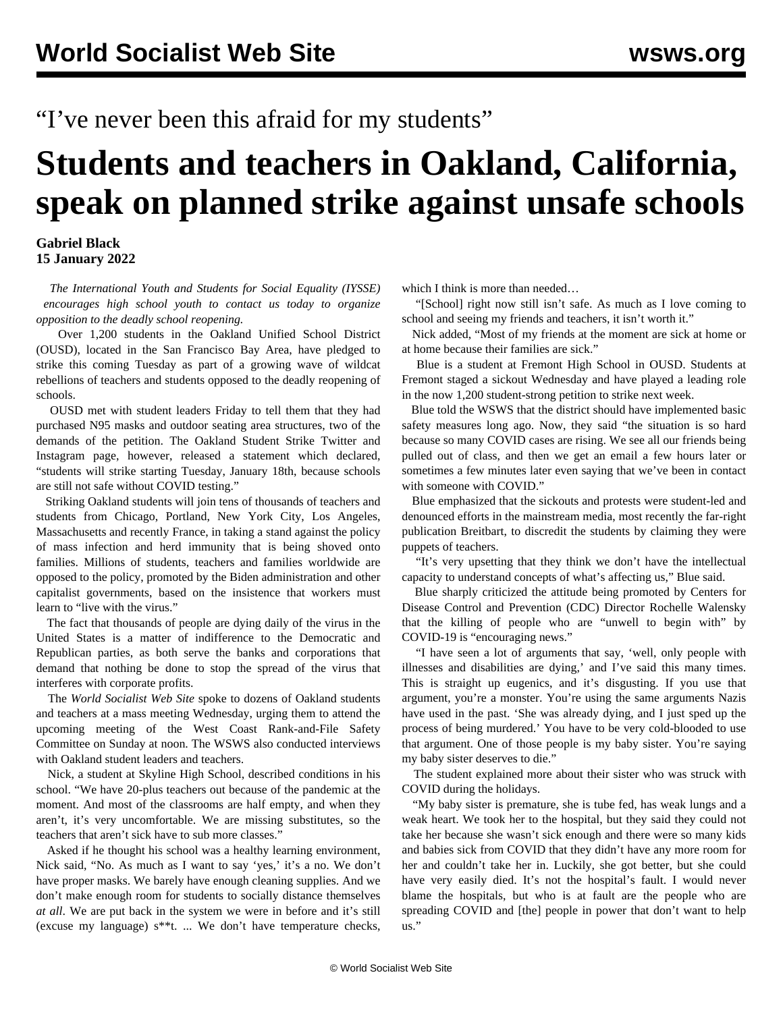"I've never been this afraid for my students"

## **Students and teachers in Oakland, California, speak on planned strike against unsafe schools**

## **Gabriel Black 15 January 2022**

 *The [International Youth and Students for Social Equality \(IYSSE\)](/en/special/pages/iysse/about.html) encourages high school youth to [contact us](mailto:iysse@wsws.org) today to organize opposition to the deadly school reopening.*

 Over 1,200 students in the Oakland Unified School District (OUSD), located in the San Francisco Bay Area, have pledged to strike this coming Tuesday as part of a growing wave of wildcat rebellions of teachers and students opposed to the deadly reopening of schools.

 OUSD met with student leaders Friday to tell them that they had purchased N95 masks and outdoor seating area structures, two of the demands of the petition. The Oakland Student Strike [Twitter](https://twitter.com/ousdstrike) and [Instagram](https://www.instagram.com/ousdstudents/) page, however, released a statement which declared, "students will strike starting Tuesday, January 18th, because schools are still not safe without COVID testing."

 Striking Oakland students will join tens of thousands of teachers and students from Chicago, Portland, New York City, Los Angeles, Massachusetts and recently France, in taking a stand against the policy of mass infection and herd immunity that is being shoved onto families. Millions of students, teachers and families worldwide are opposed to the policy, promoted by the Biden administration and other capitalist governments, based on the insistence that workers must learn to "live with the virus."

 The fact that thousands of people are dying daily of the virus in the United States is a matter of indifference to the Democratic and Republican parties, as both serve the banks and corporations that demand that nothing be done to stop the spread of the virus that interferes with corporate profits.

 The *World Socialist Web Site* spoke to dozens of Oakland students and teachers at a mass meeting Wednesday, urging them to attend the upcoming [meeting](https://fb.me/e/1aN9HS078) of the West Coast Rank-and-File Safety Committee on Sunday at noon. The WSWS also conducted interviews with Oakland student leaders and teachers.

 Nick, a student at Skyline High School, described conditions in his school. "We have 20-plus teachers out because of the pandemic at the moment. And most of the classrooms are half empty, and when they aren't, it's very uncomfortable. We are missing substitutes, so the teachers that aren't sick have to sub more classes."

 Asked if he thought his school was a healthy learning environment, Nick said, "No. As much as I want to say 'yes,' it's a no. We don't have proper masks. We barely have enough cleaning supplies. And we don't make enough room for students to socially distance themselves *at all*. We are put back in the system we were in before and it's still (excuse my language) s\*\*t. ... We don't have temperature checks, which I think is more than needed...

 "[School] right now still isn't safe. As much as I love coming to school and seeing my friends and teachers, it isn't worth it."

 Nick added, "Most of my friends at the moment are sick at home or at home because their families are sick."

 Blue is a student at Fremont High School in OUSD. Students at Fremont staged a sickout Wednesday and have played a leading role in the now 1,200 student-strong petition to strike next week.

 Blue told the WSWS that the district should have implemented basic safety measures long ago. Now, they said "the situation is so hard because so many COVID cases are rising. We see all our friends being pulled out of class, and then we get an email a few hours later or sometimes a few minutes later even saying that we've been in contact with someone with COVID."

 Blue emphasized that the sickouts and protests were student-led and denounced efforts in the mainstream media, most recently the far-right publication Breitbart, to discredit the students by claiming they were puppets of teachers.

 "It's very upsetting that they think we don't have the intellectual capacity to understand concepts of what's affecting us," Blue said.

 Blue sharply criticized the attitude being promoted by Centers for Disease Control and Prevention (CDC) Director Rochelle Walensky that the killing of people who are "unwell to begin with" by COVID-19 is "encouraging news."

 "I have seen a lot of arguments that say, 'well, only people with illnesses and disabilities are dying,' and I've said this many times. This is straight up eugenics, and it's disgusting. If you use that argument, you're a monster. You're using the same arguments Nazis have used in the past. 'She was already dying, and I just sped up the process of being murdered.' You have to be very cold-blooded to use that argument. One of those people is my baby sister. You're saying my baby sister deserves to die."

 The student explained more about their sister who was struck with COVID during the holidays.

 "My baby sister is premature, she is tube fed, has weak lungs and a weak heart. We took her to the hospital, but they said they could not take her because she wasn't sick enough and there were so many kids and babies sick from COVID that they didn't have any more room for her and couldn't take her in. Luckily, she got better, but she could have very easily died. It's not the hospital's fault. I would never blame the hospitals, but who is at fault are the people who are spreading COVID and [the] people in power that don't want to help us."